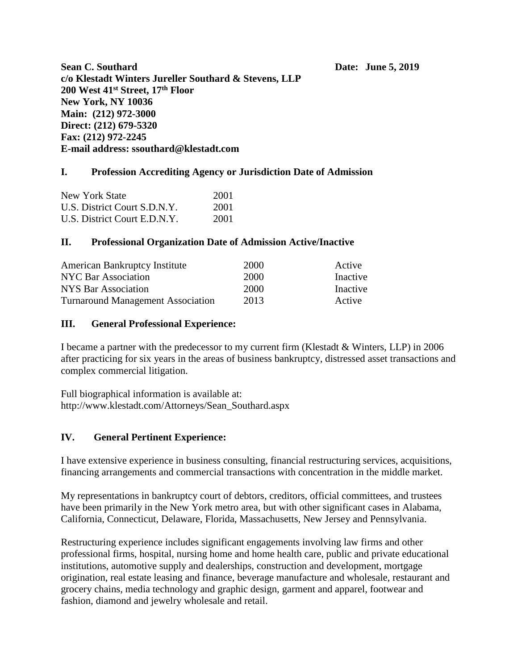**Sean C. Southard Date: June 5, 2019 c/o Klestadt Winters Jureller Southard & Stevens, LLP 200 West 41st Street, 17th Floor New York, NY 10036 Main: (212) 972-3000 Direct: (212) 679-5320 Fax: (212) 972-2245 E-mail address: ssouthard@klestadt.com**

## **I. Profession Accrediting Agency or Jurisdiction Date of Admission**

| New York State               | 2001 |
|------------------------------|------|
| U.S. District Court S.D.N.Y. | 2001 |
| U.S. District Court E.D.N.Y. | 2001 |

#### **II. Professional Organization Date of Admission Active/Inactive**

| <b>American Bankruptcy Institute</b>     | 2000 | Active   |
|------------------------------------------|------|----------|
| <b>NYC Bar Association</b>               | 2000 | Inactive |
| <b>NYS Bar Association</b>               | 2000 | Inactive |
| <b>Turnaround Management Association</b> | 2013 | Active   |

#### **III. General Professional Experience:**

I became a partner with the predecessor to my current firm (Klestadt & Winters, LLP) in 2006 after practicing for six years in the areas of business bankruptcy, distressed asset transactions and complex commercial litigation.

Full biographical information is available at: http://www.klestadt.com/Attorneys/Sean\_Southard.aspx

#### **IV. General Pertinent Experience:**

I have extensive experience in business consulting, financial restructuring services, acquisitions, financing arrangements and commercial transactions with concentration in the middle market.

My representations in bankruptcy court of debtors, creditors, official committees, and trustees have been primarily in the New York metro area, but with other significant cases in Alabama, California, Connecticut, Delaware, Florida, Massachusetts, New Jersey and Pennsylvania.

Restructuring experience includes significant engagements involving law firms and other professional firms, hospital, nursing home and home health care, public and private educational institutions, automotive supply and dealerships, construction and development, mortgage origination, real estate leasing and finance, beverage manufacture and wholesale, restaurant and grocery chains, media technology and graphic design, garment and apparel, footwear and fashion, diamond and jewelry wholesale and retail.